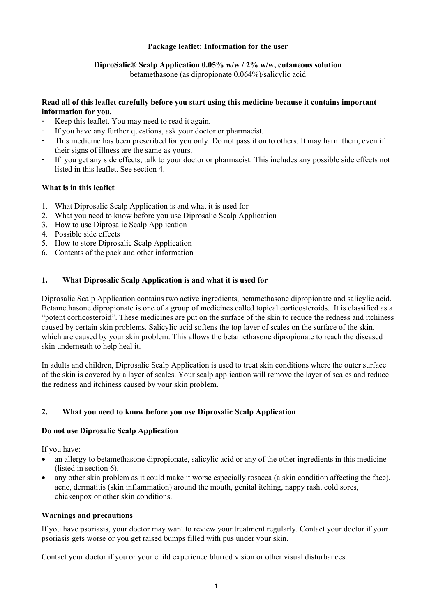## **Package leaflet: Information for the user**

## **DiproSalic® Scalp Application 0.05% w/w / 2% w/w, cutaneous solution**

betamethasone (as dipropionate 0.064%)/salicylic acid

## **Read all of this leaflet carefully before you start using this medicine because it contains important information for you.**

- Keep this leaflet. You may need to read it again.
- If you have any further questions, ask your doctor or pharmacist.
- This medicine has been prescribed for you only. Do not pass it on to others. It may harm them, even if their signs of illness are the same as yours.
- If you get any side effects, talk to your doctor or pharmacist. This includes any possible side effects not listed in this leaflet. See section 4.

## **What is in this leaflet**

- 1. What Diprosalic Scalp Application is and what it is used for
- 2. What you need to know before you use Diprosalic Scalp Application
- 3. How to use Diprosalic Scalp Application
- 4. Possible side effects
- 5. How to store Diprosalic Scalp Application
- 6. Contents of the pack and other information

# **1. What Diprosalic Scalp Application is and what it is used for**

Diprosalic Scalp Application contains two active ingredients, betamethasone dipropionate and salicylic acid. Betamethasone dipropionate is one of a group of medicines called topical corticosteroids. It is classified as a "potent corticosteroid". These medicines are put on the surface of the skin to reduce the redness and itchiness caused by certain skin problems. Salicylic acid softens the top layer of scales on the surface of the skin, which are caused by your skin problem. This allows the betamethasone dipropionate to reach the diseased skin underneath to help heal it.

In adults and children, Diprosalic Scalp Application is used to treat skin conditions where the outer surface of the skin is covered by a layer of scales. Your scalp application will remove the layer of scales and reduce the redness and itchiness caused by your skin problem.

## **2. What you need to know before you use Diprosalic Scalp Application**

## **Do not use Diprosalic Scalp Application**

If you have:

- an allergy to betamethasone dipropionate, salicylic acid or any of the other ingredients in this medicine (listed in section 6).
- any other skin problem as it could make it worse especially rosacea (a skin condition affecting the face), acne, dermatitis (skin inflammation) around the mouth, genital itching, nappy rash, cold sores, chickenpox or other skin conditions.

## **Warnings and precautions**

If you have psoriasis, your doctor may want to review your treatment regularly. Contact your doctor if your psoriasis gets worse or you get raised bumps filled with pus under your skin.

Contact your doctor if you or your child experience blurred vision or other visual disturbances.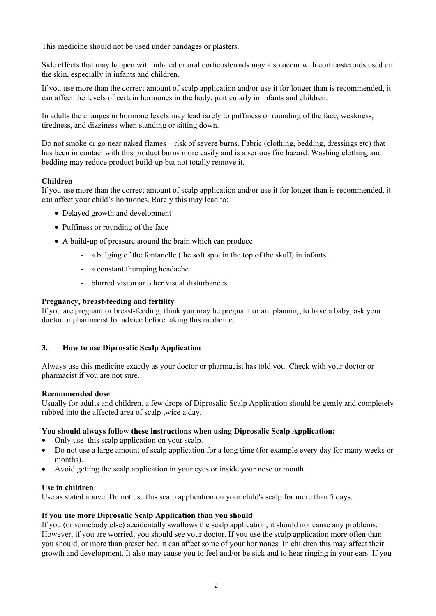This medicine should not be used under bandages or plasters.

Side effects that may happen with inhaled or oral corticosteroids may also occur with corticosteroids used on the skin, especially in infants and children.

If you use more than the correct amount of scalp application and/or use it for longer than is recommended, it can affect the levels of certain hormones in the body, particularly in infants and children.

In adults the changes in hormone levels may lead rarely to puffiness or rounding of the face, weakness, tiredness, and dizziness when standing or sitting down.

Do not smoke or go near naked flames – risk of severe burns. Fabric (clothing, bedding, dressings etc) that has been in contact with this product burns more easily and is a serious fire hazard. Washing clothing and bedding may reduce product build-up but not totally remove it.

## **Children**

If you use more than the correct amount of scalp application and/or use it for longer than is recommended, it can affect your child's hormones. Rarely this may lead to:

- Delayed growth and development
- Puffiness or rounding of the face
- A build-up of pressure around the brain which can produce
	- a bulging of the fontanelle (the soft spot in the top of the skull) in infants
	- a constant thumping headache
	- blurred vision or other visual disturbances

#### **Pregnancy, breast-feeding and fertility**

If you are pregnant or breast-feeding, think you may be pregnant or are planning to have a baby, ask your doctor or pharmacist for advice before taking this medicine.

#### **3. How to use Diprosalic Scalp Application**

Always use this medicine exactly as your doctor or pharmacist has told you. Check with your doctor or pharmacist if you are not sure.

#### **Recommended dose**

Usually for adults and children, a few drops of Diprosalic Scalp Application should be gently and completely rubbed into the affected area of scalp twice a day.

#### **You should always follow these instructions when using Diprosalic Scalp Application:**

- Only use this scalp application on your scalp.
- Do not use a large amount of scalp application for a long time (for example every day for many weeks or months).
- Avoid getting the scalp application in your eyes or inside your nose or mouth.

#### **Use in children**

Use as stated above. Do not use this scalp application on your child's scalp for more than 5 days.

#### **If you use more Diprosalic Scalp Application than you should**

If you (or somebody else) accidentally swallows the scalp application, it should not cause any problems. However, if you are worried, you should see your doctor. If you use the scalp application more often than you should, or more than prescribed, it can affect some of your hormones. In children this may affect their growth and development. It also may cause you to feel and/or be sick and to hear ringing in your ears. If you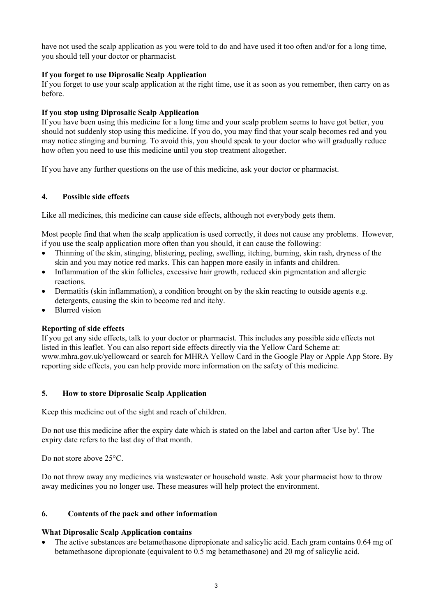have not used the scalp application as you were told to do and have used it too often and/or for a long time, you should tell your doctor or pharmacist.

## **If you forget to use Diprosalic Scalp Application**

If you forget to use your scalp application at the right time, use it as soon as you remember, then carry on as before.

## **If you stop using Diprosalic Scalp Application**

If you have been using this medicine for a long time and your scalp problem seems to have got better, you should not suddenly stop using this medicine. If you do, you may find that your scalp becomes red and you may notice stinging and burning. To avoid this, you should speak to your doctor who will gradually reduce how often you need to use this medicine until you stop treatment altogether.

If you have any further questions on the use of this medicine, ask your doctor or pharmacist.

#### **4. Possible side effects**

Like all medicines, this medicine can cause side effects, although not everybody gets them.

Most people find that when the scalp application is used correctly, it does not cause any problems. However, if you use the scalp application more often than you should, it can cause the following:

- Thinning of the skin, stinging, blistering, peeling, swelling, itching, burning, skin rash, dryness of the skin and you may notice red marks. This can happen more easily in infants and children.
- Inflammation of the skin follicles, excessive hair growth, reduced skin pigmentation and allergic reactions.
- Dermatitis (skin inflammation), a condition brought on by the skin reacting to outside agents e.g. detergents, causing the skin to become red and itchy.
- Blurred vision

#### **Reporting of side effects**

If you get any side effects, talk to your doctor or pharmacist. This includes any possible side effects not listed in this leaflet. You can also report side effects directly via the Yellow Card Scheme at: www.mhra.gov.uk/yellowcard or search for MHRA Yellow Card in the Google Play or Apple App Store. By reporting side effects, you can help provide more information on the safety of this medicine.

#### **5. How to store Diprosalic Scalp Application**

Keep this medicine out of the sight and reach of children.

Do not use this medicine after the expiry date which is stated on the label and carton after 'Use by'. The expiry date refers to the last day of that month.

Do not store above 25°C.

Do not throw away any medicines via wastewater or household waste. Ask your pharmacist how to throw away medicines you no longer use. These measures will help protect the environment.

#### **6. Contents of the pack and other information**

#### **What Diprosalic Scalp Application contains**

• The active substances are betamethasone dipropionate and salicylic acid. Each gram contains 0.64 mg of betamethasone dipropionate (equivalent to 0.5 mg betamethasone) and 20 mg of salicylic acid.